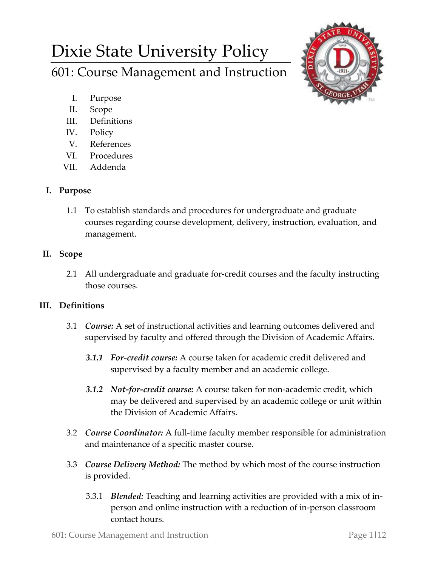# Dixie State University Policy

601: Course Management and Instruction

- I. Purpose
- II. Scope
- III. Definitions
- IV. Policy
- V. References
- VI. Procedures
- VII. Addenda

# **I. Purpose**

1.1 To establish standards and procedures for undergraduate and graduate courses regarding course development, delivery, instruction, evaluation, and management.

# **II. Scope**

2.1 All undergraduate and graduate for-credit courses and the faculty instructing those courses.

# **III. Definitions**

- 3.1 *Course:* A set of instructional activities and learning outcomes delivered and supervised by faculty and offered through the Division of Academic Affairs.
	- *3.1.1 For-credit course:* A course taken for academic credit delivered and supervised by a faculty member and an academic college.
	- *3.1.2 Not-for-credit course:* A course taken for non-academic credit, which may be delivered and supervised by an academic college or unit within the Division of Academic Affairs.
- 3.2 *Course Coordinator:* A full-time faculty member responsible for administration and maintenance of a specific master course.
- 3.3 *Course Delivery Method:* The method by which most of the course instruction is provided.
	- 3.3.1 *Blended:* Teaching and learning activities are provided with a mix of inperson and online instruction with a reduction of in-person classroom contact hours.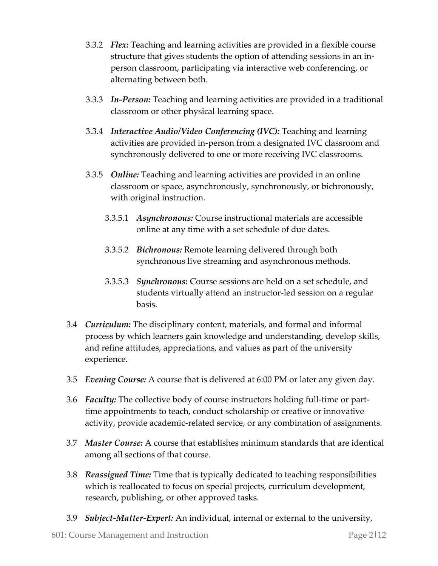- 3.3.2 *Flex:* Teaching and learning activities are provided in a flexible course structure that gives students the option of attending sessions in an inperson classroom, participating via interactive web conferencing, or alternating between both.
- 3.3.3 *In-Person:* Teaching and learning activities are provided in a traditional classroom or other physical learning space.
- 3.3.4 *Interactive Audio/Video Conferencing (IVC):* Teaching and learning activities are provided in-person from a designated IVC classroom and synchronously delivered to one or more receiving IVC classrooms.
- 3.3.5 *Online:* Teaching and learning activities are provided in an online classroom or space, asynchronously, synchronously, or bichronously, with original instruction.
	- 3.3.5.1 *Asynchronous:* Course instructional materials are accessible online at any time with a set schedule of due dates.
	- 3.3.5.2 *Bichronous:* Remote learning delivered through both synchronous live streaming and asynchronous methods.
	- 3.3.5.3 *Synchronous:* Course sessions are held on a set schedule, and students virtually attend an instructor-led session on a regular basis.
- 3.4 *Curriculum:* The disciplinary content, materials, and formal and informal process by which learners gain knowledge and understanding, develop skills, and refine attitudes, appreciations, and values as part of the university experience.
- 3.5 *Evening Course:* A course that is delivered at 6:00 PM or later any given day.
- 3.6 *Faculty:* The collective body of course instructors holding full-time or parttime appointments to teach, conduct scholarship or creative or innovative activity, provide academic-related service, or any combination of assignments.
- 3.7 *Master Course:* A course that establishes minimum standards that are identical among all sections of that course.
- 3.8 *Reassigned Time:* Time that is typically dedicated to teaching responsibilities which is reallocated to focus on special projects, curriculum development, research, publishing, or other approved tasks.
- 3.9 *Subject-Matter-Expert:* An individual, internal or external to the university,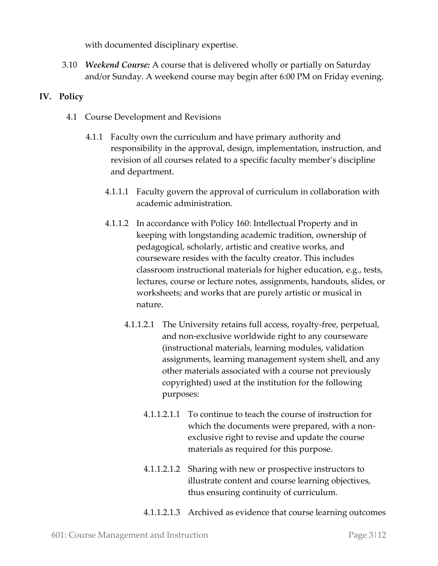with documented disciplinary expertise.

3.10 *Weekend Course:* A course that is delivered wholly or partially on Saturday and/or Sunday. A weekend course may begin after 6:00 PM on Friday evening.

## **IV. Policy**

- 4.1 Course Development and Revisions
	- 4.1.1 Faculty own the curriculum and have primary authority and responsibility in the approval, design, implementation, instruction, and revision of all courses related to a specific faculty member's discipline and department.
		- 4.1.1.1 Faculty govern the approval of curriculum in collaboration with academic administration.
		- 4.1.1.2 In accordance with Policy 160: Intellectual Property and in keeping with longstanding academic tradition, ownership of pedagogical, scholarly, artistic and creative works, and courseware resides with the faculty creator. This includes classroom instructional materials for higher education, e.g., tests, lectures, course or lecture notes, assignments, handouts, slides, or worksheets; and works that are purely artistic or musical in nature.
			- 4.1.1.2.1 The University retains full access, royalty-free, perpetual, and non-exclusive worldwide right to any courseware (instructional materials, learning modules, validation assignments, learning management system shell, and any other materials associated with a course not previously copyrighted) used at the institution for the following purposes:
				- 4.1.1.2.1.1 To continue to teach the course of instruction for which the documents were prepared, with a nonexclusive right to revise and update the course materials as required for this purpose.
				- 4.1.1.2.1.2 Sharing with new or prospective instructors to illustrate content and course learning objectives, thus ensuring continuity of curriculum.
				- 4.1.1.2.1.3 Archived as evidence that course learning outcomes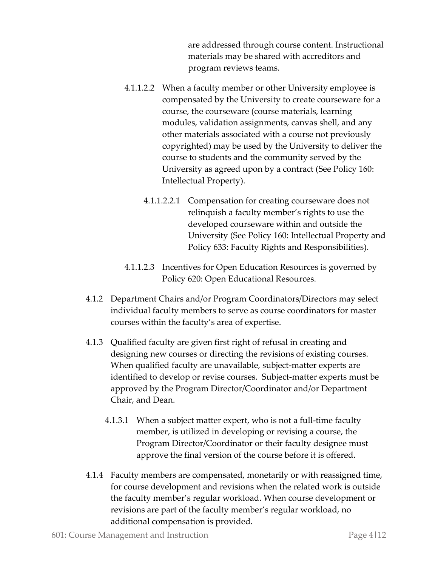are addressed through course content. Instructional materials may be shared with accreditors and program reviews teams.

- 4.1.1.2.2 When a faculty member or other University employee is compensated by the University to create courseware for a course, the courseware (course materials, learning modules, validation assignments, canvas shell, and any other materials associated with a course not previously copyrighted) may be used by the University to deliver the course to students and the community served by the University as agreed upon by a contract (See Policy 160: Intellectual Property).
	- 4.1.1.2.2.1 Compensation for creating courseware does not relinquish a faculty member's rights to use the developed courseware within and outside the University (See Policy 160: Intellectual Property and Policy 633: Faculty Rights and Responsibilities).
- 4.1.1.2.3 Incentives for Open Education Resources is governed by Policy 620: Open Educational Resources.
- 4.1.2 Department Chairs and/or Program Coordinators/Directors may select individual faculty members to serve as course coordinators for master courses within the faculty's area of expertise.
- 4.1.3 Qualified faculty are given first right of refusal in creating and designing new courses or directing the revisions of existing courses. When qualified faculty are unavailable, subject-matter experts are identified to develop or revise courses. Subject-matter experts must be approved by the Program Director/Coordinator and/or Department Chair, and Dean.
	- 4.1.3.1 When a subject matter expert, who is not a full-time faculty member, is utilized in developing or revising a course, the Program Director/Coordinator or their faculty designee must approve the final version of the course before it is offered.
- 4.1.4 Faculty members are compensated, monetarily or with reassigned time, for course development and revisions when the related work is outside the faculty member's regular workload. When course development or revisions are part of the faculty member's regular workload, no additional compensation is provided.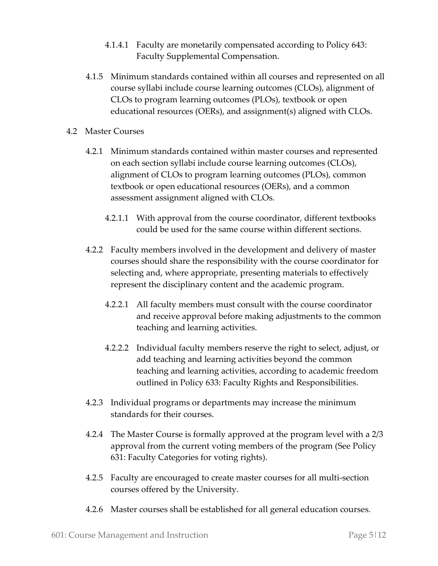- 4.1.4.1 Faculty are monetarily compensated according to Policy 643: Faculty Supplemental Compensation.
- 4.1.5 Minimum standards contained within all courses and represented on all course syllabi include course learning outcomes (CLOs), alignment of CLOs to program learning outcomes (PLOs), textbook or open educational resources (OERs), and assignment(s) aligned with CLOs.
- 4.2 Master Courses
	- 4.2.1 Minimum standards contained within master courses and represented on each section syllabi include course learning outcomes (CLOs), alignment of CLOs to program learning outcomes (PLOs), common textbook or open educational resources (OERs), and a common assessment assignment aligned with CLOs.
		- 4.2.1.1 With approval from the course coordinator, different textbooks could be used for the same course within different sections.
	- 4.2.2 Faculty members involved in the development and delivery of master courses should share the responsibility with the course coordinator for selecting and, where appropriate, presenting materials to effectively represent the disciplinary content and the academic program.
		- 4.2.2.1 All faculty members must consult with the course coordinator and receive approval before making adjustments to the common teaching and learning activities.
		- 4.2.2.2 Individual faculty members reserve the right to select, adjust, or add teaching and learning activities beyond the common teaching and learning activities, according to academic freedom outlined in Policy 633: Faculty Rights and Responsibilities.
	- 4.2.3 Individual programs or departments may increase the minimum standards for their courses.
	- 4.2.4 The Master Course is formally approved at the program level with a 2/3 approval from the current voting members of the program (See Policy 631: Faculty Categories for voting rights).
	- 4.2.5 Faculty are encouraged to create master courses for all multi-section courses offered by the University.
	- 4.2.6 Master courses shall be established for all general education courses.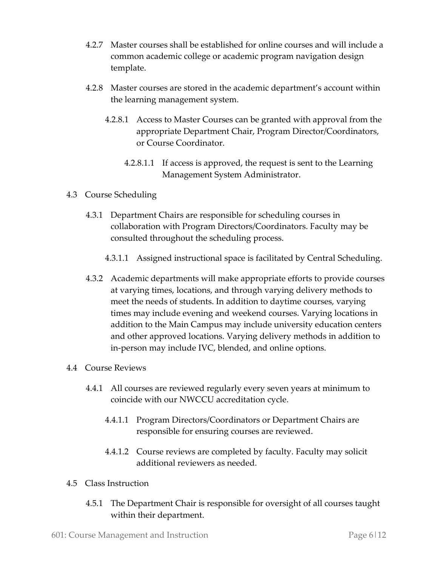- 4.2.7 Master courses shall be established for online courses and will include a common academic college or academic program navigation design template.
- 4.2.8 Master courses are stored in the academic department's account within the learning management system.
	- 4.2.8.1 Access to Master Courses can be granted with approval from the appropriate Department Chair, Program Director/Coordinators, or Course Coordinator.
		- 4.2.8.1.1 If access is approved, the request is sent to the Learning Management System Administrator.
- 4.3 Course Scheduling
	- 4.3.1 Department Chairs are responsible for scheduling courses in collaboration with Program Directors/Coordinators. Faculty may be consulted throughout the scheduling process.
		- 4.3.1.1 Assigned instructional space is facilitated by Central Scheduling.
	- 4.3.2 Academic departments will make appropriate efforts to provide courses at varying times, locations, and through varying delivery methods to meet the needs of students. In addition to daytime courses, varying times may include evening and weekend courses. Varying locations in addition to the Main Campus may include university education centers and other approved locations. Varying delivery methods in addition to in-person may include IVC, blended, and online options.
- 4.4 Course Reviews
	- 4.4.1 All courses are reviewed regularly every seven years at minimum to coincide with our NWCCU accreditation cycle.
		- 4.4.1.1 Program Directors/Coordinators or Department Chairs are responsible for ensuring courses are reviewed.
		- 4.4.1.2 Course reviews are completed by faculty. Faculty may solicit additional reviewers as needed.
- 4.5 Class Instruction
	- 4.5.1 The Department Chair is responsible for oversight of all courses taught within their department.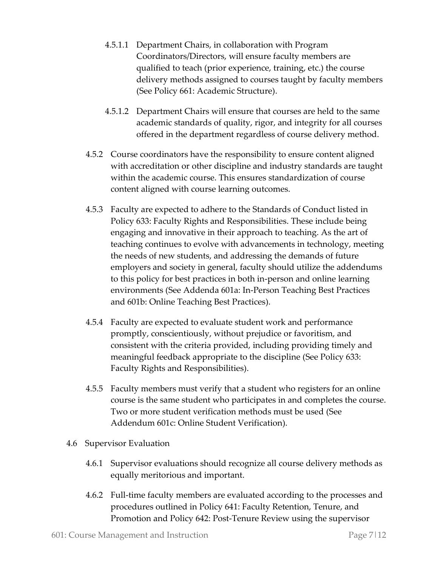- 4.5.1.1 Department Chairs, in collaboration with Program Coordinators/Directors, will ensure faculty members are qualified to teach (prior experience, training, etc.) the course delivery methods assigned to courses taught by faculty members (See Policy 661: Academic Structure).
- 4.5.1.2 Department Chairs will ensure that courses are held to the same academic standards of quality, rigor, and integrity for all courses offered in the department regardless of course delivery method.
- 4.5.2 Course coordinators have the responsibility to ensure content aligned with accreditation or other discipline and industry standards are taught within the academic course. This ensures standardization of course content aligned with course learning outcomes.
- 4.5.3 Faculty are expected to adhere to the Standards of Conduct listed in Policy 633: Faculty Rights and Responsibilities. These include being engaging and innovative in their approach to teaching. As the art of teaching continues to evolve with advancements in technology, meeting the needs of new students, and addressing the demands of future employers and society in general, faculty should utilize the addendums to this policy for best practices in both in-person and online learning environments (See Addenda 601a: In-Person Teaching Best Practices and 601b: Online Teaching Best Practices).
- 4.5.4 Faculty are expected to evaluate student work and performance promptly, conscientiously, without prejudice or favoritism, and consistent with the criteria provided, including providing timely and meaningful feedback appropriate to the discipline (See Policy 633: Faculty Rights and Responsibilities).
- 4.5.5 Faculty members must verify that a student who registers for an online course is the same student who participates in and completes the course. Two or more student verification methods must be used (See Addendum 601c: Online Student Verification).
- 4.6 Supervisor Evaluation
	- 4.6.1 Supervisor evaluations should recognize all course delivery methods as equally meritorious and important.
	- 4.6.2 Full-time faculty members are evaluated according to the processes and procedures outlined in Policy 641: Faculty Retention, Tenure, and Promotion and Policy 642: Post-Tenure Review using the supervisor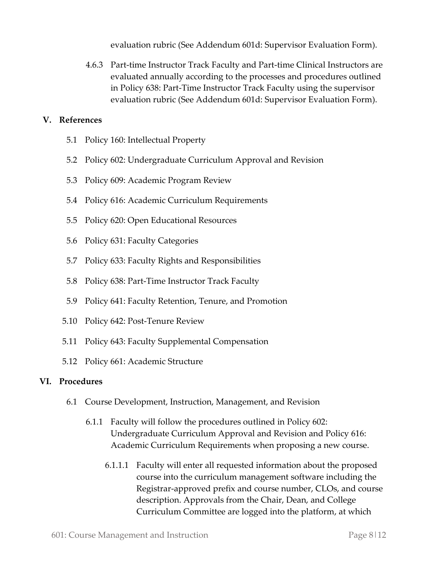evaluation rubric (See Addendum 601d: Supervisor Evaluation Form).

4.6.3 Part-time Instructor Track Faculty and Part-time Clinical Instructors are evaluated annually according to the processes and procedures outlined in Policy 638: Part-Time Instructor Track Faculty using the supervisor evaluation rubric (See Addendum 601d: Supervisor Evaluation Form).

## **V. References**

- 5.1 Policy 160: Intellectual Property
- 5.2 Policy 602: Undergraduate Curriculum Approval and Revision
- 5.3 Policy 609: Academic Program Review
- 5.4 Policy 616: Academic Curriculum Requirements
- 5.5 Policy 620: Open Educational Resources
- 5.6 Policy 631: Faculty Categories
- 5.7 Policy 633: Faculty Rights and Responsibilities
- 5.8 Policy 638: Part-Time Instructor Track Faculty
- 5.9 Policy 641: Faculty Retention, Tenure, and Promotion
- 5.10 Policy 642: Post-Tenure Review
- 5.11 Policy 643: Faculty Supplemental Compensation
- 5.12 Policy 661: Academic Structure

## **VI. Procedures**

- 6.1 Course Development, Instruction, Management, and Revision
	- 6.1.1 Faculty will follow the procedures outlined in Policy 602: Undergraduate Curriculum Approval and Revision and Policy 616: Academic Curriculum Requirements when proposing a new course.
		- 6.1.1.1 Faculty will enter all requested information about the proposed course into the curriculum management software including the Registrar-approved prefix and course number, CLOs, and course description. Approvals from the Chair, Dean, and College Curriculum Committee are logged into the platform, at which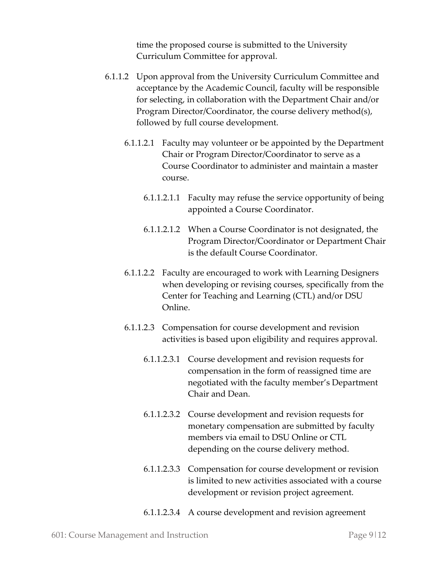time the proposed course is submitted to the University Curriculum Committee for approval.

- 6.1.1.2 Upon approval from the University Curriculum Committee and acceptance by the Academic Council, faculty will be responsible for selecting, in collaboration with the Department Chair and/or Program Director/Coordinator, the course delivery method(s), followed by full course development.
	- 6.1.1.2.1 Faculty may volunteer or be appointed by the Department Chair or Program Director/Coordinator to serve as a Course Coordinator to administer and maintain a master course.
		- 6.1.1.2.1.1 Faculty may refuse the service opportunity of being appointed a Course Coordinator.
		- 6.1.1.2.1.2 When a Course Coordinator is not designated, the Program Director/Coordinator or Department Chair is the default Course Coordinator.
	- 6.1.1.2.2 Faculty are encouraged to work with Learning Designers when developing or revising courses, specifically from the Center for Teaching and Learning (CTL) and/or DSU Online.
	- 6.1.1.2.3 Compensation for course development and revision activities is based upon eligibility and requires approval.
		- 6.1.1.2.3.1 Course development and revision requests for compensation in the form of reassigned time are negotiated with the faculty member's Department Chair and Dean.
		- 6.1.1.2.3.2 Course development and revision requests for monetary compensation are submitted by faculty members via email to DSU Online or CTL depending on the course delivery method.
		- 6.1.1.2.3.3 Compensation for course development or revision is limited to new activities associated with a course development or revision project agreement.

#### 6.1.1.2.3.4 A course development and revision agreement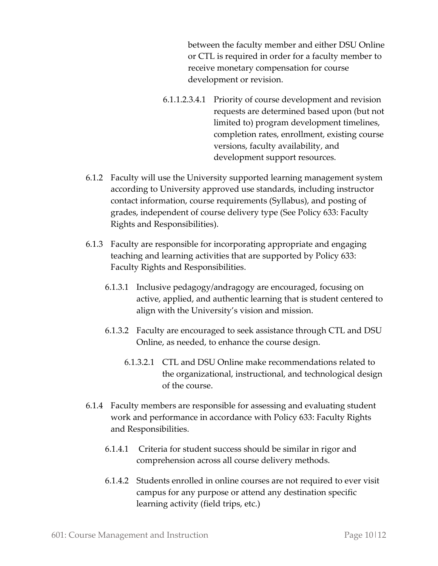between the faculty member and either DSU Online or CTL is required in order for a faculty member to receive monetary compensation for course development or revision.

- 6.1.1.2.3.4.1 Priority of course development and revision requests are determined based upon (but not limited to) program development timelines, completion rates, enrollment, existing course versions, faculty availability, and development support resources.
- 6.1.2 Faculty will use the University supported learning management system according to University approved use standards, including instructor contact information, course requirements (Syllabus), and posting of grades, independent of course delivery type (See Policy 633: Faculty Rights and Responsibilities).
- 6.1.3 Faculty are responsible for incorporating appropriate and engaging teaching and learning activities that are supported by Policy 633: Faculty Rights and Responsibilities.
	- 6.1.3.1 Inclusive pedagogy/andragogy are encouraged, focusing on active, applied, and authentic learning that is student centered to align with the University's vision and mission.
	- 6.1.3.2 Faculty are encouraged to seek assistance through CTL and DSU Online, as needed, to enhance the course design.
		- 6.1.3.2.1 CTL and DSU Online make recommendations related to the organizational, instructional, and technological design of the course.
- 6.1.4 Faculty members are responsible for assessing and evaluating student work and performance in accordance with Policy 633: Faculty Rights and Responsibilities.
	- 6.1.4.1 Criteria for student success should be similar in rigor and comprehension across all course delivery methods.
	- 6.1.4.2 Students enrolled in online courses are not required to ever visit campus for any purpose or attend any destination specific learning activity (field trips, etc.)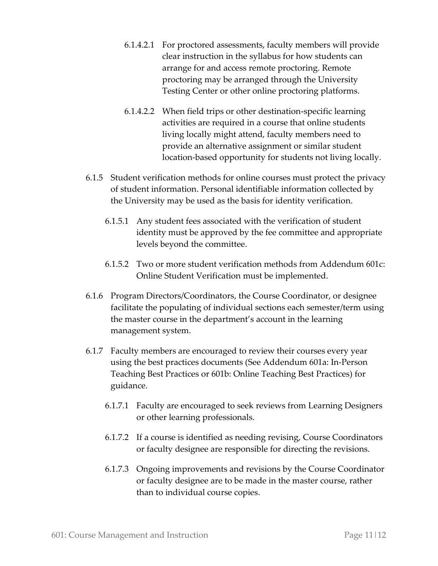- 6.1.4.2.1 For proctored assessments, faculty members will provide clear instruction in the syllabus for how students can arrange for and access remote proctoring. Remote proctoring may be arranged through the University Testing Center or other online proctoring platforms.
- 6.1.4.2.2 When field trips or other destination-specific learning activities are required in a course that online students living locally might attend, faculty members need to provide an alternative assignment or similar student location-based opportunity for students not living locally.
- 6.1.5 Student verification methods for online courses must protect the privacy of student information. Personal identifiable information collected by the University may be used as the basis for identity verification.
	- 6.1.5.1 Any student fees associated with the verification of student identity must be approved by the fee committee and appropriate levels beyond the committee.
	- 6.1.5.2 Two or more student verification methods from Addendum 601c: Online Student Verification must be implemented.
- 6.1.6 Program Directors/Coordinators, the Course Coordinator, or designee facilitate the populating of individual sections each semester/term using the master course in the department's account in the learning management system.
- 6.1.7 Faculty members are encouraged to review their courses every year using the best practices documents (See Addendum 601a: In-Person Teaching Best Practices or 601b: Online Teaching Best Practices) for guidance.
	- 6.1.7.1 Faculty are encouraged to seek reviews from Learning Designers or other learning professionals.
	- 6.1.7.2 If a course is identified as needing revising, Course Coordinators or faculty designee are responsible for directing the revisions.
	- 6.1.7.3 Ongoing improvements and revisions by the Course Coordinator or faculty designee are to be made in the master course, rather than to individual course copies.